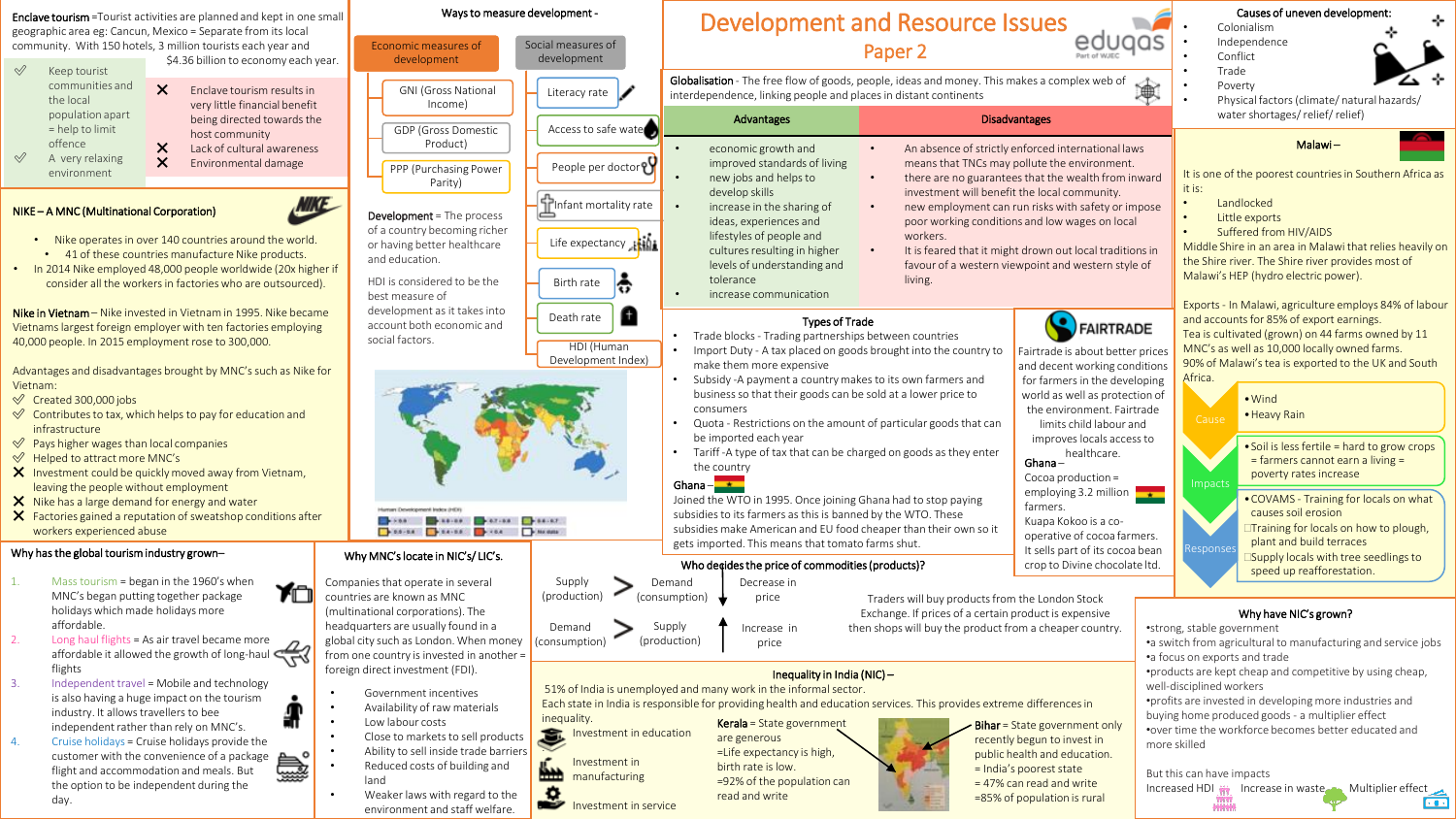Enclave tourism =Tourist activities are planned and kept in one small geographic area eg: Cancun, Mexico = Separate from its local community. With 150 hotels, 3 million tourists each year and

\$4.36 billion to economy each year. ✅ Keep tourist communities and the local population apart = help to limit offence A very relaxing environment ❌ Enclave tourism results in very little financial benefit being directed towards the host community X Lack of cultural awareness ❌ Environmental damage

## NIKE – A MNC (Multinational Corporation)



ÝΠ

- Nike operates in over 140 countries around the world. • 41 of these countries manufacture Nike products.
- In 2014 Nike employed 48,000 people worldwide (20x higher if consider all the workers in factories who are outsourced).

Nike in Vietnam – Nike invested in Vietnam in 1995. Nike became Vietnams largest foreign employer with ten factories employing 40,000 people. In 2015 employment rose to 300,000.

Advantages and disadvantages brought by MNC's such as Nike for Vietnam:

- ✅ Created 300,000 jobs
- $\mathcal O$  Contributes to tax, which helps to pay for education and infrastructure
- $\mathcal{P}$  Pays higher wages than local companies
- ✅ Helped to attract more MNC's
- $\mathsf{\times}$  Investment could be quickly moved away from Vietnam, leaving the people without employment
- X Nike has a large demand for energy and water
- $\mathsf{\times}$  Factories gained a reputation of sweatshop conditions after workers experienced abuse

## Why has the global tourism industry grown–

- 1. Mass tourism = began in the 1960's when MNC's began putting together package holidays which made holidays more affordable.
- 2. Long haul flights = As air travel became more affordable it allowed the growth of long-haul flights
- 3. Independent travel = Mobile and technology is also having a huge impact on the tourism industry. It allows travellers to bee independent rather than rely on MNC's.
- 4. Cruise holidays = Cruise holidays provide the **Asset** customer with the convenience of a package flight and accommodation and meals. But the option to be independent during the day.